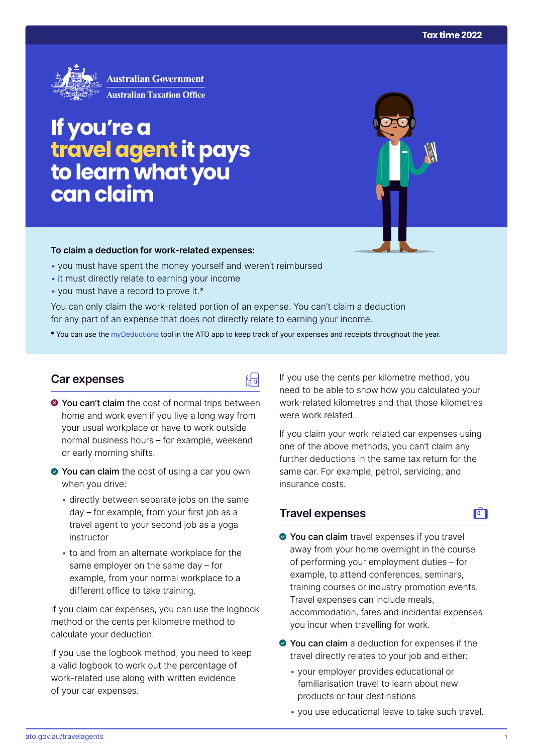

# **If you're a travelagent it pays to learn what you can claim**

#### **To claim a deduction for work‑related expenses:**

- you must have spent the money yourself and weren't reimbursed
- it must directly relate to earning your income
- you must have a record to prove it.\*

You can only claim the work-related portion of an expense. You can't claim a deduction for any part of an expense that does not directly relate to earning your income.

\* You can use the [myDeductions](https://ato.gov.au/mydeductions) tool in the ATO app to keep track of your expenses and receipts throughout the year.

品

## **Car expenses**

- $\bullet$  You can't claim the cost of normal trips between home and work even if you live a long way from your usual workplace or have to work outside normal business hours – for example, weekend or early morning shifts.
- ◆ You can claim the cost of using a car you own when you drive:
	- directly between separate jobs on the same day – for example, from your first job as a travel agent to your second job as a yoga instructor
	- to and from an alternate workplace for the same employer on the same day – for example, from your normal workplace to a different office to take training.

If you claim car expenses, you can use the logbook method or the cents per kilometre method to calculate your deduction.

If you use the logbook method, you need to keep a valid logbook to work out the percentage of work-related use along with written evidence of your car expenses.

If you use the cents per kilometre method, you need to be able to show how you calculated your work-related kilometres and that those kilometres were work related.

If you claim your work-related car expenses using one of the above methods, you can't claim any further deductions in the same tax return for the same car. For example, petrol, servicing, and insurance costs.

# **Travel expenses**

# $\mathbf{F}$

- You can claim travel expenses if you travel away from your home overnight in the course of performing your employment duties – for example, to attend conferences, seminars, training courses or industry promotion events. Travel expenses can include meals, accommodation, fares and incidental expenses you incur when travelling for work.
- ◆ You can claim a deduction for expenses if the travel directly relates to your job and either:
	- your employer provides educational or familiarisation travel to learn about new products or tour destinations
	- you use educational leave to take such travel.